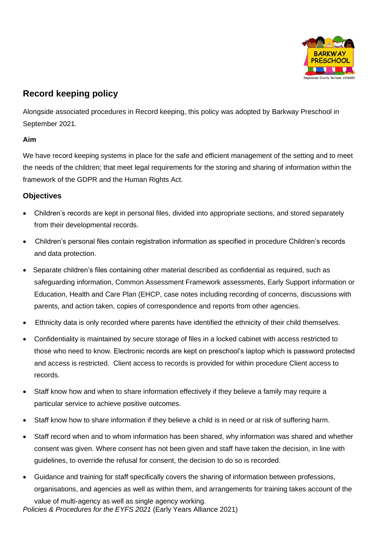

# **Record keeping policy**

Alongside associated procedures in Record keeping, this policy was adopted by Barkway Preschool in September 2021.

## **Aim**

We have record keeping systems in place for the safe and efficient management of the setting and to meet the needs of the children; that meet legal requirements for the storing and sharing of information within the framework of the GDPR and the Human Rights Act.

## **Objectives**

- Children's records are kept in personal files, divided into appropriate sections, and stored separately from their developmental records.
- Children's personal files contain registration information as specified in procedure Children's records and data protection.
- Separate children's files containing other material described as confidential as required, such as safeguarding information, Common Assessment Framework assessments, Early Support information or Education, Health and Care Plan (EHCP, case notes including recording of concerns, discussions with parents, and action taken, copies of correspondence and reports from other agencies.
- Ethnicity data is only recorded where parents have identified the ethnicity of their child themselves.
- Confidentiality is maintained by secure storage of files in a locked cabinet with access restricted to those who need to know. Electronic records are kept on preschool's laptop which is password protected and access is restricted. Client access to records is provided for within procedure Client access to records.
- Staff know how and when to share information effectively if they believe a family may require a particular service to achieve positive outcomes.
- Staff know how to share information if they believe a child is in need or at risk of suffering harm.
- Staff record when and to whom information has been shared, why information was shared and whether consent was given. Where consent has not been given and staff have taken the decision, in line with guidelines, to override the refusal for consent, the decision to do so is recorded.
- Guidance and training for staff specifically covers the sharing of information between professions, organisations, and agencies as well as within them, and arrangements for training takes account of the

*Policies & Procedures for the EYFS 2021* (Early Years Alliance 2021) value of multi-agency as well as single agency working.